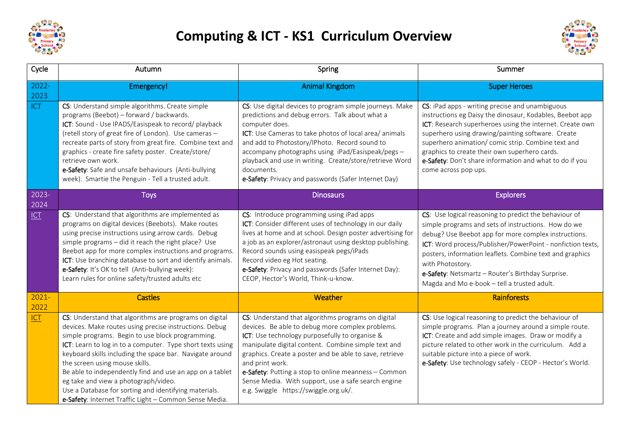

## **Computing & ICT - KS1 Curriculum Overview**



| Cycle            | Autumn                                                                                                                                                                                                                                                                                                                                                                                                                                                                                                                                                  | Spring                                                                                                                                                                                                                                                                                                                                                                                                                                                | Summer                                                                                                                                                                                                                                                                                                                                                                                                                 |
|------------------|---------------------------------------------------------------------------------------------------------------------------------------------------------------------------------------------------------------------------------------------------------------------------------------------------------------------------------------------------------------------------------------------------------------------------------------------------------------------------------------------------------------------------------------------------------|-------------------------------------------------------------------------------------------------------------------------------------------------------------------------------------------------------------------------------------------------------------------------------------------------------------------------------------------------------------------------------------------------------------------------------------------------------|------------------------------------------------------------------------------------------------------------------------------------------------------------------------------------------------------------------------------------------------------------------------------------------------------------------------------------------------------------------------------------------------------------------------|
| $2022 -$<br>2023 | Emergency!                                                                                                                                                                                                                                                                                                                                                                                                                                                                                                                                              | <b>Animal Kingdom</b>                                                                                                                                                                                                                                                                                                                                                                                                                                 | <b>Super Heroes</b>                                                                                                                                                                                                                                                                                                                                                                                                    |
| ICT              | CS: Understand simple algorithms. Create simple<br>programs (Beebot) - forward / backwards.<br>ICT: Sound - Use IPADS/Easispeak to record/ playback<br>(retell story of great fire of London). Use cameras -<br>recreate parts of story from great fire. Combine text and<br>graphics - create fire safety poster. Create/store/<br>retrieve own work.<br>e-Safety: Safe and unsafe behaviours (Anti-bullying<br>week). Smartie the Penguin - Tell a trusted adult.                                                                                     | CS: Use digital devices to program simple journeys. Make<br>predictions and debug errors. Talk about what a<br>computer does.<br>ICT: Use Cameras to take photos of local area/animals<br>and add to Photostory/IPhoto. Record sound to<br>accompany photographs using iPad/Easispeak/pegs -<br>playback and use in writing. Create/store/retrieve Word<br>documents.<br>e-Safety: Privacy and passwords (Safer Internet Day)                         | CS: iPad apps - writing precise and unambiguous<br>instructions eg Daisy the dinosaur, Kodables, Beebot app<br>ICT: Research superheroes using the internet. Create own<br>superhero using drawing/painting software. Create<br>superhero animation/ comic strip. Combine text and<br>graphics to create their own superhero cards.<br>e-Safety: Don't share information and what to do if you<br>come across pop ups. |
| 2023-<br>2024    | <b>Toys</b>                                                                                                                                                                                                                                                                                                                                                                                                                                                                                                                                             | <b>Dinosaurs</b>                                                                                                                                                                                                                                                                                                                                                                                                                                      | <b>Explorers</b>                                                                                                                                                                                                                                                                                                                                                                                                       |
| ICI              | CS: Understand that algorithms are implemented as<br>programs on digital devices (Beebots). Make routes<br>using precise instructions using arrow cards. Debug<br>simple programs - did it reach the right place? Use<br>Beebot app for more complex instructions and programs.<br>ICT: Use branching database to sort and identify animals.<br>e-Safety: It's OK to tell (Anti-bullying week):<br>Learn rules for online safety/trusted adults etc                                                                                                     | CS: Introduce programming using iPad apps<br>ICT: Consider different uses of technology in our daily<br>lives at home and at school. Design poster advertising for<br>a job as an explorer/astronaut using desktop publishing.<br>Record sounds using easispeak pegs/iPads<br>Record video eg Hot seating.<br>e-Safety: Privacy and passwords (Safer Internet Day):<br>CEOP, Hector's World, Think-u-know.                                            | CS: Use logical reasoning to predict the behaviour of<br>simple programs and sets of instructions. How do we<br>debug? Use Beebot app for more complex instructions.<br>ICT: Word process/Publisher/PowerPoint - nonfiction texts,<br>posters, information leaflets. Combine text and graphics<br>with Photostory.<br>e-Safety: Netsmartz - Router's Birthday Surprise.<br>Magda and Mo e-book - tell a trusted adult. |
| $2021 -$<br>2022 | <b>Castles</b>                                                                                                                                                                                                                                                                                                                                                                                                                                                                                                                                          | Weather                                                                                                                                                                                                                                                                                                                                                                                                                                               | Rainforests                                                                                                                                                                                                                                                                                                                                                                                                            |
| ICT              | CS: Understand that algorithms are programs on digital<br>devices. Make routes using precise instructions. Debug<br>simple programs. Begin to use block programming.<br>ICT: Learn to log in to a computer. Type short texts using<br>keyboard skills including the space bar. Navigate around<br>the screen using mouse skills.<br>Be able to independently find and use an app on a tablet<br>eg take and view a photograph/video.<br>Use a Database for sorting and identifying materials.<br>e-Safety: Internet Traffic Light - Common Sense Media. | CS: Understand that algorithms programs on digital<br>devices. Be able to debug more complex problems.<br>ICT: Use technology purposefully to organise &<br>manipulate digital content. Combine simple text and<br>graphics. Create a poster and be able to save, retrieve<br>and print work.<br>e-Safety: Putting a stop to online meanness - Common<br>Sense Media. With support, use a safe search engine<br>e.g. Swiggle https://swiggle.org.uk/. | CS: Use logical reasoning to predict the behaviour of<br>simple programs. Plan a journey around a simple route.<br>ICT: Create and add simple images. Draw or modify a<br>picture related to other work in the curriculum. Add a<br>suitable picture into a piece of work.<br>e-Safety: Use technology safely - CEOP - Hector's World.                                                                                 |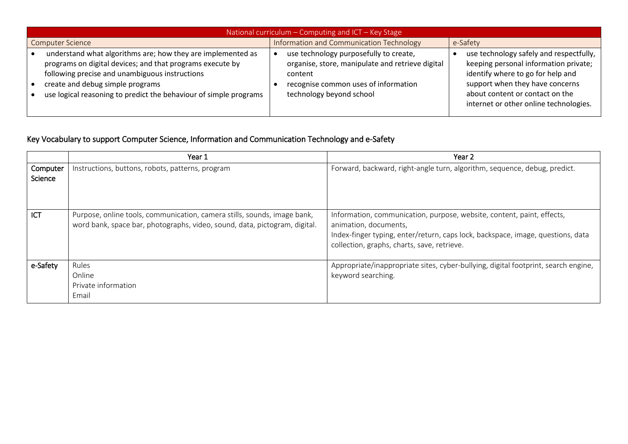| National curriculum - Computing and ICT - Key Stage                                                                                                                                                                                                                                 |                                                                                                                                                                           |                                                                                                                                                                                                                                       |  |  |  |  |
|-------------------------------------------------------------------------------------------------------------------------------------------------------------------------------------------------------------------------------------------------------------------------------------|---------------------------------------------------------------------------------------------------------------------------------------------------------------------------|---------------------------------------------------------------------------------------------------------------------------------------------------------------------------------------------------------------------------------------|--|--|--|--|
| <b>Computer Science</b>                                                                                                                                                                                                                                                             | Information and Communication Technology                                                                                                                                  | e-Safety                                                                                                                                                                                                                              |  |  |  |  |
| understand what algorithms are; how they are implemented as<br>programs on digital devices; and that programs execute by<br>following precise and unambiguous instructions<br>create and debug simple programs<br>use logical reasoning to predict the behaviour of simple programs | use technology purposefully to create,<br>organise, store, manipulate and retrieve digital<br>content<br>recognise common uses of information<br>technology beyond school | use technology safely and respectfully,<br>keeping personal information private;<br>identify where to go for help and<br>support when they have concerns<br>about content or contact on the<br>internet or other online technologies. |  |  |  |  |

## Key Vocabulary to support Computer Science, Information and Communication Technology and e-Safety

|                     | Year 1                                                                                                                                                 | Year 2                                                                                                                                                                                                                            |
|---------------------|--------------------------------------------------------------------------------------------------------------------------------------------------------|-----------------------------------------------------------------------------------------------------------------------------------------------------------------------------------------------------------------------------------|
| Computer<br>Science | Instructions, buttons, robots, patterns, program                                                                                                       | Forward, backward, right-angle turn, algorithm, sequence, debug, predict.                                                                                                                                                         |
| ICT                 | Purpose, online tools, communication, camera stills, sounds, image bank,<br>word bank, space bar, photographs, video, sound, data, pictogram, digital. | Information, communication, purpose, website, content, paint, effects,<br>animation, documents,<br>Index-finger typing, enter/return, caps lock, backspace, image, questions, data<br>collection, graphs, charts, save, retrieve. |
| e-Safety            | Rules<br>Online<br>Private information<br>Email                                                                                                        | Appropriate/inappropriate sites, cyber-bullying, digital footprint, search engine,<br>keyword searching.                                                                                                                          |